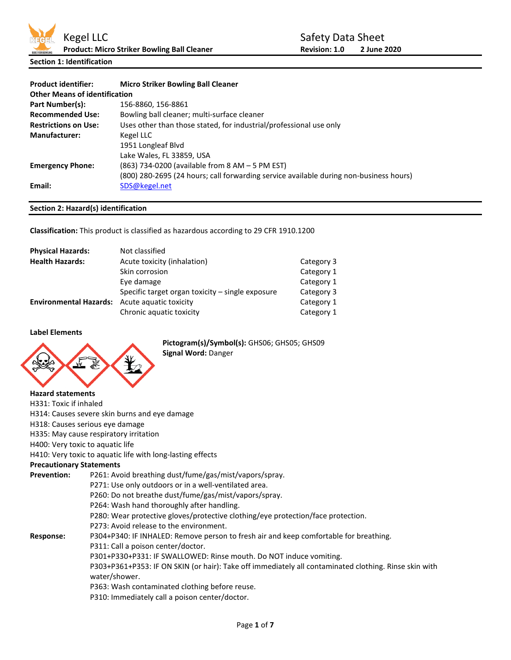

**Section 1: Identification**

| <b>Product identifier:</b>           | <b>Micro Striker Bowling Ball Cleaner</b>                                              |
|--------------------------------------|----------------------------------------------------------------------------------------|
| <b>Other Means of identification</b> |                                                                                        |
| Part Number(s):                      | 156-8860, 156-8861                                                                     |
| <b>Recommended Use:</b>              | Bowling ball cleaner; multi-surface cleaner                                            |
| <b>Restrictions on Use:</b>          | Uses other than those stated, for industrial/professional use only                     |
| <b>Manufacturer:</b>                 | Kegel LLC                                                                              |
|                                      | 1951 Longleaf Blvd                                                                     |
|                                      | Lake Wales, FL 33859, USA                                                              |
| <b>Emergency Phone:</b>              | (863) 734-0200 (available from 8 AM - 5 PM EST)                                        |
|                                      | (800) 280-2695 (24 hours; call forwarding service available during non-business hours) |
| Email:                               | SDS@kegel.net                                                                          |
|                                      |                                                                                        |

# **Section 2: Hazard(s) identification**

**Classification:** This product is classified as hazardous according to 29 CFR 1910.1200

| <b>Physical Hazards:</b>                             | Not classified                                   |            |
|------------------------------------------------------|--------------------------------------------------|------------|
| <b>Health Hazards:</b>                               | Acute toxicity (inhalation)                      | Category 3 |
|                                                      | Skin corrosion                                   | Category 1 |
|                                                      | Eye damage                                       | Category 1 |
|                                                      | Specific target organ toxicity – single exposure | Category 3 |
| <b>Environmental Hazards:</b> Acute aquatic toxicity |                                                  | Category 1 |
|                                                      | Chronic aquatic toxicity                         | Category 1 |

## **Label Elements**



**Pictogram(s)/Symbol(s):** GHS06; GHS05; GHS09 **Signal Word:** Danger

#### **Hazard statements**

- H331: Toxic if inhaled H314: Causes severe skin burns and eye damage
- H318: Causes serious eye damage
- H335: May cause respiratory irritation
- H400: Very toxic to aquatic life

# H410: Very toxic to aquatic life with long-lasting effects

## **Precautionary Statements**

| P261: Avoid breathing dust/fume/gas/mist/vapors/spray.                                                                 |
|------------------------------------------------------------------------------------------------------------------------|
| P271: Use only outdoors or in a well-ventilated area.                                                                  |
| P260: Do not breathe dust/fume/gas/mist/vapors/spray.                                                                  |
| P264: Wash hand thoroughly after handling.                                                                             |
| P280: Wear protective gloves/protective clothing/eye protection/face protection.                                       |
| P273: Avoid release to the environment.                                                                                |
| P304+P340: IF INHALED: Remove person to fresh air and keep comfortable for breathing.                                  |
| P311: Call a poison center/doctor.                                                                                     |
| P301+P330+P331: IF SWALLOWED: Rinse mouth. Do NOT induce vomiting.                                                     |
| P303+P361+P353: IF ON SKIN (or hair): Take off immediately all contaminated clothing. Rinse skin with<br>water/shower. |
| P363: Wash contaminated clothing before reuse.                                                                         |
| P310: Immediately call a poison center/doctor.                                                                         |
|                                                                                                                        |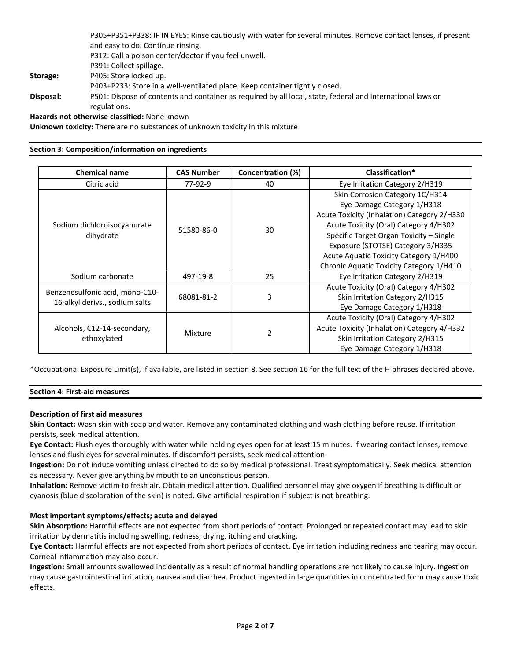|                 | P305+P351+P338: IF IN EYES: Rinse cautiously with water for several minutes. Remove contact lenses, if present |
|-----------------|----------------------------------------------------------------------------------------------------------------|
|                 | and easy to do. Continue rinsing.                                                                              |
|                 | P312: Call a poison center/doctor if you feel unwell.                                                          |
|                 | P391: Collect spillage.                                                                                        |
| <b>Storage:</b> | P405: Store locked up.                                                                                         |
|                 | P403+P233: Store in a well-ventilated place. Keep container tightly closed.                                    |
| Disposal:       | P501: Dispose of contents and container as required by all local, state, federal and international laws or     |
|                 | regulations.                                                                                                   |
|                 | Hazards not otherwise classified: None known                                                                   |

**Unknown toxicity:** There are no substances of unknown toxicity in this mixture

### **Section 3: Composition/information on ingredients**

| <b>Chemical name</b>            | <b>CAS Number</b> | Concentration (%) | Classification*                             |
|---------------------------------|-------------------|-------------------|---------------------------------------------|
| Citric acid                     | 77-92-9           | 40                | Eye Irritation Category 2/H319              |
|                                 |                   |                   | Skin Corrosion Category 1C/H314             |
|                                 |                   |                   | Eye Damage Category 1/H318                  |
|                                 |                   |                   | Acute Toxicity (Inhalation) Category 2/H330 |
| Sodium dichloroisocyanurate     |                   | 30                | Acute Toxicity (Oral) Category 4/H302       |
| dihydrate                       | 51580-86-0        |                   | Specific Target Organ Toxicity - Single     |
|                                 |                   |                   | Exposure (STOTSE) Category 3/H335           |
|                                 |                   |                   | Acute Aquatic Toxicity Category 1/H400      |
|                                 |                   |                   | Chronic Aquatic Toxicity Category 1/H410    |
| Sodium carbonate                | 497-19-8          | 25                | Eye Irritation Category 2/H319              |
|                                 |                   |                   | Acute Toxicity (Oral) Category 4/H302       |
| Benzenesulfonic acid, mono-C10- | 68081-81-2        | 3                 | Skin Irritation Category 2/H315             |
| 16-alkyl derivs., sodium salts  |                   |                   | Eye Damage Category 1/H318                  |
|                                 |                   |                   | Acute Toxicity (Oral) Category 4/H302       |
| Alcohols, C12-14-secondary,     | Mixture           | $\mathcal{P}$     | Acute Toxicity (Inhalation) Category 4/H332 |
| ethoxylated                     |                   |                   | Skin Irritation Category 2/H315             |
|                                 |                   |                   | Eye Damage Category 1/H318                  |

\*Occupational Exposure Limit(s), if available, are listed in section 8. See section 16 for the full text of the H phrases declared above.

#### **Section 4: First-aid measures**

#### **Description of first aid measures**

**Skin Contact:** Wash skin with soap and water. Remove any contaminated clothing and wash clothing before reuse. If irritation persists, seek medical attention.

**Eye Contact:** Flush eyes thoroughly with water while holding eyes open for at least 15 minutes. If wearing contact lenses, remove lenses and flush eyes for several minutes. If discomfort persists, seek medical attention.

**Ingestion:** Do not induce vomiting unless directed to do so by medical professional. Treat symptomatically. Seek medical attention as necessary. Never give anything by mouth to an unconscious person.

**Inhalation:** Remove victim to fresh air. Obtain medical attention. Qualified personnel may give oxygen if breathing is difficult or cyanosis (blue discoloration of the skin) is noted. Give artificial respiration if subject is not breathing.

## **Most important symptoms/effects; acute and delayed**

**Skin Absorption:** Harmful effects are not expected from short periods of contact. Prolonged or repeated contact may lead to skin irritation by dermatitis including swelling, redness, drying, itching and cracking.

**Eye Contact:** Harmful effects are not expected from short periods of contact. Eye irritation including redness and tearing may occur. Corneal inflammation may also occur.

**Ingestion:** Small amounts swallowed incidentally as a result of normal handling operations are not likely to cause injury. Ingestion may cause gastrointestinal irritation, nausea and diarrhea. Product ingested in large quantities in concentrated form may cause toxic effects.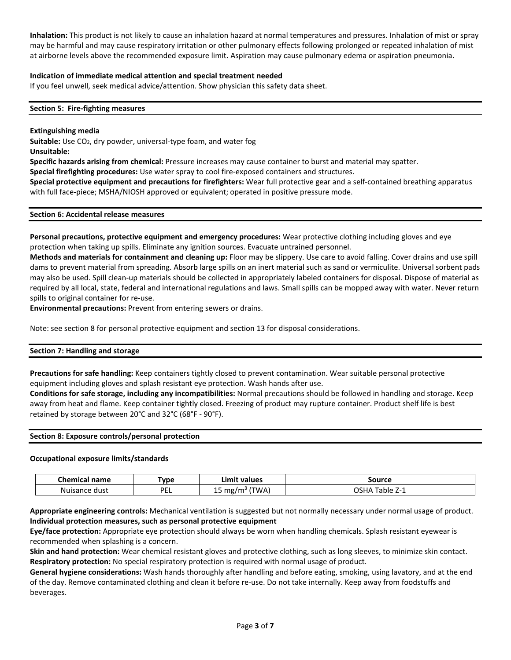**Inhalation:** This product is not likely to cause an inhalation hazard at normal temperatures and pressures. Inhalation of mist or spray may be harmful and may cause respiratory irritation or other pulmonary effects following prolonged or repeated inhalation of mist at airborne levels above the recommended exposure limit. Aspiration may cause pulmonary edema or aspiration pneumonia.

## **Indication of immediate medical attention and special treatment needed**

If you feel unwell, seek medical advice/attention. Show physician this safety data sheet.

### **Section 5: Fire-fighting measures**

#### **Extinguishing media**

**Suitable:** Use CO<sub>2</sub>, dry powder, universal-type foam, and water fog **Unsuitable:**

**Specific hazards arising from chemical:** Pressure increases may cause container to burst and material may spatter.

**Special firefighting procedures:** Use water spray to cool fire-exposed containers and structures.

**Special protective equipment and precautions for firefighters:** Wear full protective gear and a self-contained breathing apparatus with full face-piece; MSHA/NIOSH approved or equivalent; operated in positive pressure mode.

#### **Section 6: Accidental release measures**

**Personal precautions, protective equipment and emergency procedures:** Wear protective clothing including gloves and eye protection when taking up spills. Eliminate any ignition sources. Evacuate untrained personnel.

**Methods and materials for containment and cleaning up:** Floor may be slippery. Use care to avoid falling. Cover drains and use spill dams to prevent material from spreading. Absorb large spills on an inert material such as sand or vermiculite. Universal sorbent pads may also be used. Spill clean-up materials should be collected in appropriately labeled containers for disposal. Dispose of material as required by all local, state, federal and international regulations and laws. Small spills can be mopped away with water. Never return spills to original container for re-use.

**Environmental precautions:** Prevent from entering sewers or drains.

Note: see section 8 for personal protective equipment and section 13 for disposal considerations.

#### **Section 7: Handling and storage**

**Precautions for safe handling:** Keep containers tightly closed to prevent contamination. Wear suitable personal protective equipment including gloves and splash resistant eye protection. Wash hands after use.

**Conditions for safe storage, including any incompatibilities:** Normal precautions should be followed in handling and storage. Keep away from heat and flame. Keep container tightly closed. Freezing of product may rupture container. Product shelf life is best retained by storage between 20°C and 32°C (68°F - 90°F).

#### **Section 8: Exposure controls/personal protection**

#### **Occupational exposure limits/standards**

| Chemical<br>name | Гуре      | Limit<br>: values                | Source                    |
|------------------|-----------|----------------------------------|---------------------------|
| Nuisance dust    | DEI<br>-- | (TWA,<br>mg/m <sup>3</sup><br>-- | <b>OSHA</b><br>n Table ∠i |

**Appropriate engineering controls:** Mechanical ventilation is suggested but not normally necessary under normal usage of product. **Individual protection measures, such as personal protective equipment**

**Eye/face protection:** Appropriate eye protection should always be worn when handling chemicals. Splash resistant eyewear is recommended when splashing is a concern.

**Skin and hand protection:** Wear chemical resistant gloves and protective clothing, such as long sleeves, to minimize skin contact. **Respiratory protection:** No special respiratory protection is required with normal usage of product.

**General hygiene considerations:** Wash hands thoroughly after handling and before eating, smoking, using lavatory, and at the end of the day. Remove contaminated clothing and clean it before re-use. Do not take internally. Keep away from foodstuffs and beverages.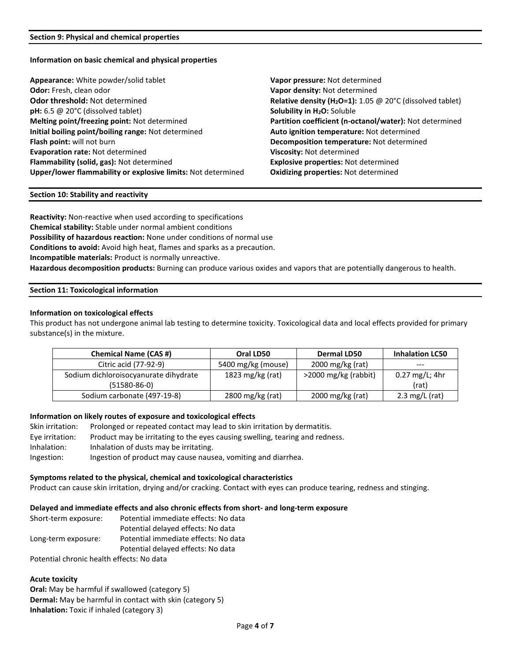### **Information on basic chemical and physical properties**

| Appearance: White powder/solid tablet                        |
|--------------------------------------------------------------|
| <b>Odor:</b> Fresh, clean odor                               |
| Odor threshold: Not determined                               |
| $pH: 6.5 \oslash 20^{\circ}C$ (dissolved tablet)             |
| Melting point/freezing point: Not determined                 |
| Initial boiling point/boiling range: Not determined          |
| Flash point: will not burn                                   |
| <b>Evaporation rate: Not determined</b>                      |
| Flammability (solid, gas): Not determined                    |
| Upper/lower flammability or explosive limits: Not determined |

Vapor pressure: Not determined Vapor density: Not determined **Relative density (H<sub>2</sub>O=1):** 1.05 @ 20°C (dissolved tablet) **Solubility in H<sub>2</sub>O:** Soluble **Partition coefficient (n-octanol/water): Not determined Initial boiling point/boiling range:** Not determined **Auto ignition temperature:** Not determined **Decomposition temperature:** Not determined **Viscosity: Not determined Explosive properties: Not determined Oxidizing properties: Not determined** 

#### **Section 10: Stability and reactivity**

**Reactivity:** Non-reactive when used according to specifications **Chemical stability:** Stable under normal ambient conditions **Possibility of hazardous reaction:** None under conditions of normal use **Conditions to avoid:** Avoid high heat, flames and sparks as a precaution. **Incompatible materials:** Product is normally unreactive. **Hazardous decomposition products:** Burning can produce various oxides and vapors that are potentially dangerous to health.

## **Section 11: Toxicological information**

#### **Information on toxicological effects**

This product has not undergone animal lab testing to determine toxicity. Toxicological data and local effects provided for primary substance(s) in the mixture.

| <b>Chemical Name (CAS #)</b>          | Oral LD50                     | <b>Dermal LD50</b>            | <b>Inhalation LC50</b> |
|---------------------------------------|-------------------------------|-------------------------------|------------------------|
| Citric acid (77-92-9)                 | 5400 mg/kg (mouse)            | $2000 \,\mathrm{mg/kg}$ (rat) | ---                    |
| Sodium dichloroisocyanurate dihydrate | 1823 mg/kg (rat)              | >2000 mg/kg (rabbit)          | 0.27 mg/L; 4hr         |
| $(51580-86-0)$                        |                               |                               | (rat)                  |
| Sodium carbonate (497-19-8)           | $2800 \,\mathrm{mg/kg}$ (rat) | $2000 \,\mathrm{mg/kg}$ (rat) | 2.3 mg/L (rat)         |

#### **Information on likely routes of exposure and toxicological effects**

| Skin irritation: | Prolonged or repeated contact may lead to skin irritation by dermatitis.     |
|------------------|------------------------------------------------------------------------------|
| Eye irritation:  | Product may be irritating to the eyes causing swelling, tearing and redness. |
| Inhalation:      | Inhalation of dusts may be irritating.                                       |
| Ingestion:       | Ingestion of product may cause nausea, vomiting and diarrhea.                |

## **Symptoms related to the physical, chemical and toxicological characteristics**

Product can cause skin irritation, drying and/or cracking. Contact with eyes can produce tearing, redness and stinging.

#### **Delayed and immediate effects and also chronic effects from short- and long-term exposure**

Short-term exposure: Potential immediate effects: No data Potential delayed effects: No data Long-term exposure: Potential immediate effects: No data Potential delayed effects: No data

Potential chronic health effects: No data

## **Acute toxicity**

**Oral:** May be harmful if swallowed (category 5) **Dermal:** May be harmful in contact with skin (category 5) **Inhalation:** Toxic if inhaled (category 3)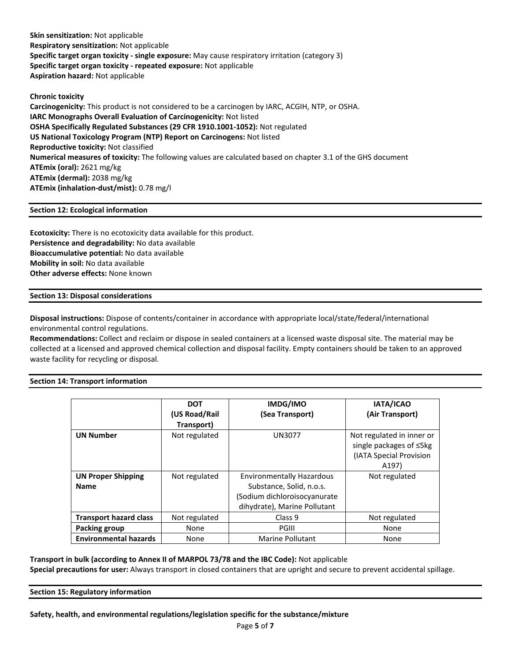**Skin sensitization:** Not applicable **Respiratory sensitization:** Not applicable **Specific target organ toxicity - single exposure:** May cause respiratory irritation (category 3) **Specific target organ toxicity - repeated exposure:** Not applicable **Aspiration hazard:** Not applicable

**Chronic toxicity Carcinogenicity:** This product is not considered to be a carcinogen by IARC, ACGIH, NTP, or OSHA. **IARC Monographs Overall Evaluation of Carcinogenicity:** Not listed **OSHA Specifically Regulated Substances (29 CFR 1910.1001-1052):** Not regulated **US National Toxicology Program (NTP) Report on Carcinogens:** Not listed **Reproductive toxicity:** Not classified **Numerical measures of toxicity:** The following values are calculated based on chapter 3.1 of the GHS document **ATEmix (oral):** 2621 mg/kg **ATEmix (dermal):** 2038 mg/kg **ATEmix (inhalation-dust/mist):** 0.78 mg/l

## **Section 12: Ecological information**

**Ecotoxicity:** There is no ecotoxicity data available for this product. **Persistence and degradability:** No data available **Bioaccumulative potential:** No data available **Mobility in soil:** No data available **Other adverse effects:** None known

## **Section 13: Disposal considerations**

**Disposal instructions:** Dispose of contents/container in accordance with appropriate local/state/federal/international environmental control regulations.

**Recommendations:** Collect and reclaim or dispose in sealed containers at a licensed waste disposal site. The material may be collected at a licensed and approved chemical collection and disposal facility. Empty containers should be taken to an approved waste facility for recycling or disposal.

## **Section 14: Transport information**

|                                          | <b>DOT</b><br>(US Road/Rail)<br>Transport) | IMDG/IMO<br>(Sea Transport)                                                                                                  | IATA/ICAO<br>(Air Transport)                                                                          |
|------------------------------------------|--------------------------------------------|------------------------------------------------------------------------------------------------------------------------------|-------------------------------------------------------------------------------------------------------|
| <b>UN Number</b>                         | Not regulated                              | UN3077                                                                                                                       | Not regulated in inner or<br>single packages of ≤5kg<br>(IATA Special Provision<br>A <sub>197</sub> ) |
| <b>UN Proper Shipping</b><br><b>Name</b> | Not regulated                              | <b>Environmentally Hazardous</b><br>Substance, Solid, n.o.s.<br>(Sodium dichloroisocyanurate<br>dihydrate), Marine Pollutant | Not regulated                                                                                         |
| <b>Transport hazard class</b>            | Not regulated                              | Class <sub>9</sub>                                                                                                           | Not regulated                                                                                         |
| <b>Packing group</b>                     | None                                       | PGIII                                                                                                                        | None                                                                                                  |
| <b>Environmental hazards</b>             | None                                       | <b>Marine Pollutant</b>                                                                                                      | None                                                                                                  |

**Transport in bulk (according to Annex II of MARPOL 73/78 and the IBC Code):** Not applicable

**Special precautions for user:** Always transport in closed containers that are upright and secure to prevent accidental spillage.

**Section 15: Regulatory information**

**Safety, health, and environmental regulations/legislation specific for the substance/mixture**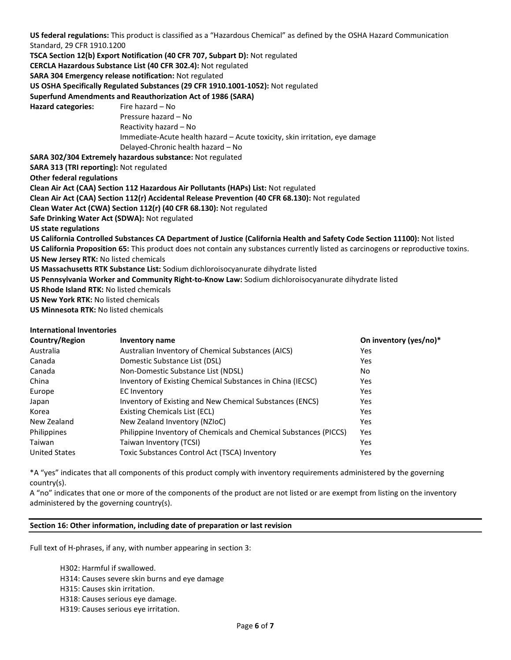**US federal regulations:** This product is classified as a "Hazardous Chemical" as defined by the OSHA Hazard Communication Standard, 29 CFR 1910.1200 **TSCA Section 12(b) Export Notification (40 CFR 707, Subpart D):** Not regulated **CERCLA Hazardous Substance List (40 CFR 302.4):** Not regulated **SARA 304 Emergency release notification:** Not regulated **US OSHA Specifically Regulated Substances (29 CFR 1910.1001-1052):** Not regulated **Superfund Amendments and Reauthorization Act of 1986 (SARA)** Hazard categories: Fire hazard – No Pressure hazard – No Reactivity hazard – No Immediate-Acute health hazard – Acute toxicity, skin irritation, eye damage Delayed-Chronic health hazard – No **SARA 302/304 Extremely hazardous substance:** Not regulated **SARA 313 (TRI reporting):** Not regulated **Other federal regulations Clean Air Act (CAA) Section 112 Hazardous Air Pollutants (HAPs) List:** Not regulated **Clean Air Act (CAA) Section 112(r) Accidental Release Prevention (40 CFR 68.130):** Not regulated **Clean Water Act (CWA) Section 112(r) (40 CFR 68.130):** Not regulated **Safe Drinking Water Act (SDWA):** Not regulated **US state regulations US California Controlled Substances CA Department of Justice (California Health and Safety Code Section 11100):** Not listed **US California Proposition 65:** This product does not contain any substances currently listed as carcinogens or reproductive toxins. **US New Jersey RTK:** No listed chemicals **US Massachusetts RTK Substance List:** Sodium dichloroisocyanurate dihydrate listed **US Pennsylvania Worker and Community Right-to-Know Law:** Sodium dichloroisocyanurate dihydrate listed **US Rhode Island RTK:** No listed chemicals **US New York RTK:** No listed chemicals **US Minnesota RTK:** No listed chemicals

## **International Inventories**

| Country/Region       | Inventory name                                                    | On inventory (yes/no)* |
|----------------------|-------------------------------------------------------------------|------------------------|
| Australia            | Australian Inventory of Chemical Substances (AICS)                | Yes                    |
| Canada               | Domestic Substance List (DSL)                                     | Yes                    |
| Canada               | Non-Domestic Substance List (NDSL)                                | No.                    |
| China                | Inventory of Existing Chemical Substances in China (IECSC)        | Yes                    |
| Europe               | <b>EC Inventory</b>                                               | <b>Yes</b>             |
| Japan                | Inventory of Existing and New Chemical Substances (ENCS)          | Yes                    |
| Korea                | Existing Chemicals List (ECL)                                     | Yes                    |
| New Zealand          | New Zealand Inventory (NZIoC)                                     | <b>Yes</b>             |
| Philippines          | Philippine Inventory of Chemicals and Chemical Substances (PICCS) | Yes                    |
| Taiwan               | Taiwan Inventory (TCSI)                                           | <b>Yes</b>             |
| <b>United States</b> | Toxic Substances Control Act (TSCA) Inventory                     | Yes                    |

\*A "yes" indicates that all components of this product comply with inventory requirements administered by the governing country(s).

A "no" indicates that one or more of the components of the product are not listed or are exempt from listing on the inventory administered by the governing country(s).

#### **Section 16: Other information, including date of preparation or last revision**

Full text of H-phrases, if any, with number appearing in section 3:

H302: Harmful if swallowed. H314: Causes severe skin burns and eye damage H315: Causes skin irritation. H318: Causes serious eye damage. H319: Causes serious eye irritation.